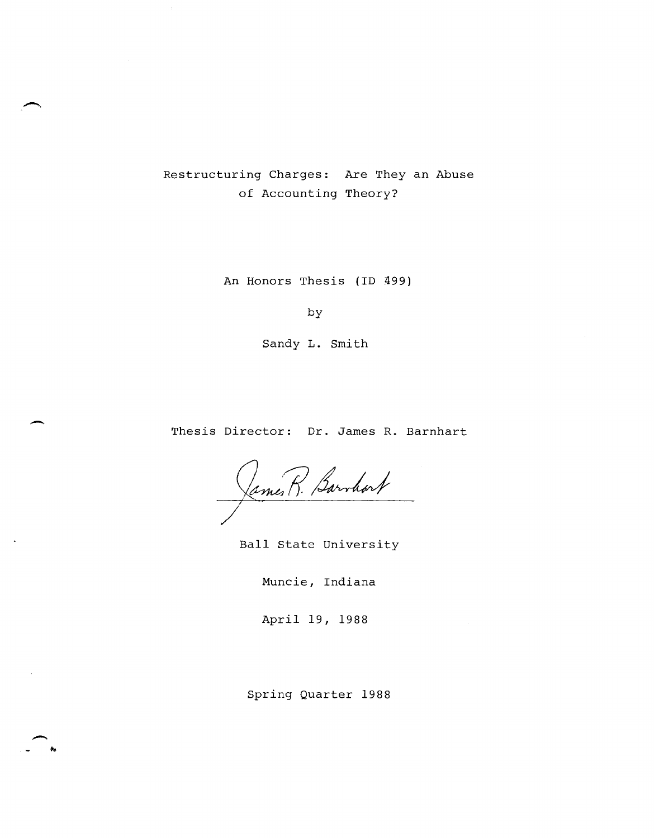Restructuring Charges: Are They an Abuse of Accounting Theory?

An Honors Thesis (ID 499)

by

Sandy L. Smith

Thesis Director: Dr. James R. Barnhart

James R. Barrhort

Ball State University

Muncie, Indiana

April 19, 1988

Spring Quarter 1988

-. ..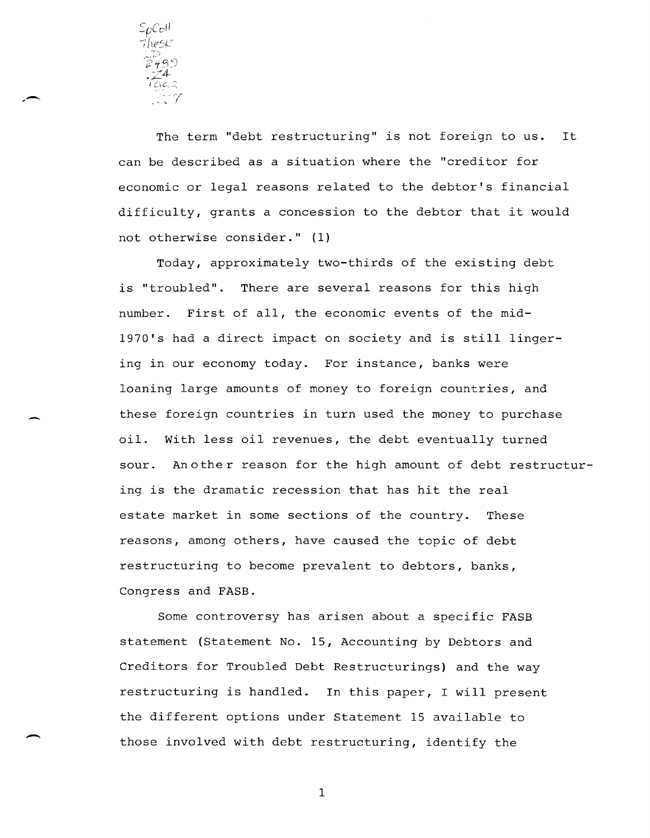

The term "debt restructuring" is not foreign to us. It can be described as a situation where the "creditor for economic or legal reasons related to the debtor's financial difficulty, grants a concession to the debtor that it would not otherwise consider." (1)

Today, approximately two-thirds of the existing debt is "troubled". There are several reasons for this high number. First of all, the economic events of the mid-1970's had a direct impact on society and is still lingering in our economy today. For instance, banks were loaning large amounts of money to foreign countries, and these foreign countries in turn used the money to purchase oil. With less oil revenues, the debt eventually turned sour. Another reason for the high amount of debt restructuring is the dramatic recession that has hit the real estate market in some sections of the country. These reasons, among others, have caused the topic of debt restructuring to become prevalent to debtors, banks, Congress and FASB.

Some controversy has arisen about a specific FASB statement (Statement No. 15, Accounting by Debtors and Creditors for Troubled Debt Restructurings) and the way restructuring is handled. In this paper, I will present the different options under Statement 15 available to those involved with debt restructuring, identify the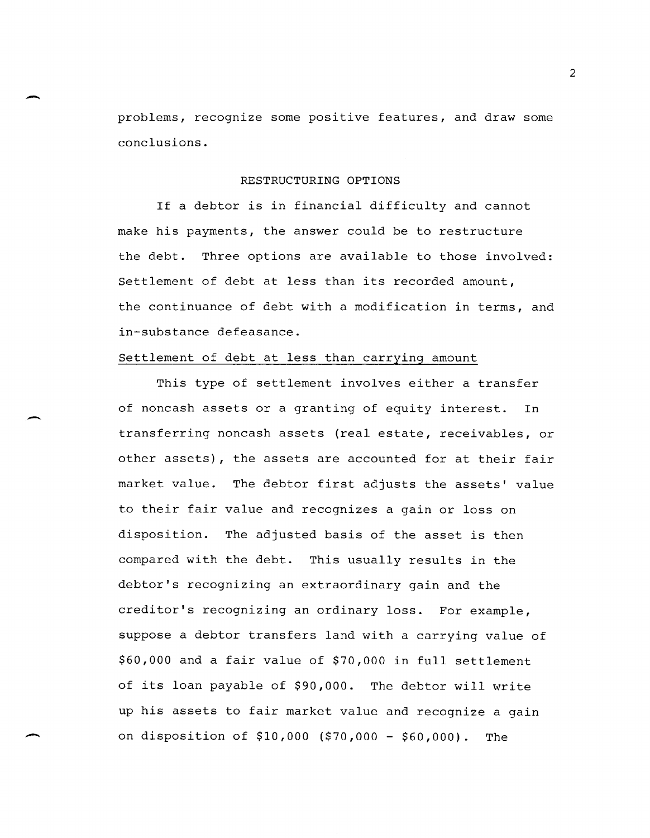problems, recognize some positive features, and draw some conclusions.

#### RESTRUCTURING OPTIONS

If a debtor is in financial difficulty and cannot make his payments, the answer could be to restructure the debt. Three options are available to those involved: Settlement of debt at less than its recorded amount, the continuance of debt with a modification in terms, and in-substance defeasance.

## Settlement of debt at less than carrying amount

-

-

This type of settlement involves either a transfer of noncash assets or a granting of equity interest. In transferring noncash assets (real estate, receivables, or other assets), the assets are accounted for at their fair market value. The debtor first adjusts the assets' value to their fair value and recognizes a gain or loss on disposition. The adjusted basis of the asset is then compared with the debt. This usually results in the debtor's recognizing an extraordinary gain and the creditor's recognizing an ordinary loss. For example, suppose a debtor transfers land with a carrying value of \$60,000 and a fair value of \$70,000 in full settlement of its loan payable of \$90,000. The debtor will write up his assets to fair market value and recognize a gain on disposition of \$10,000 (\$70,000 - \$60,000). The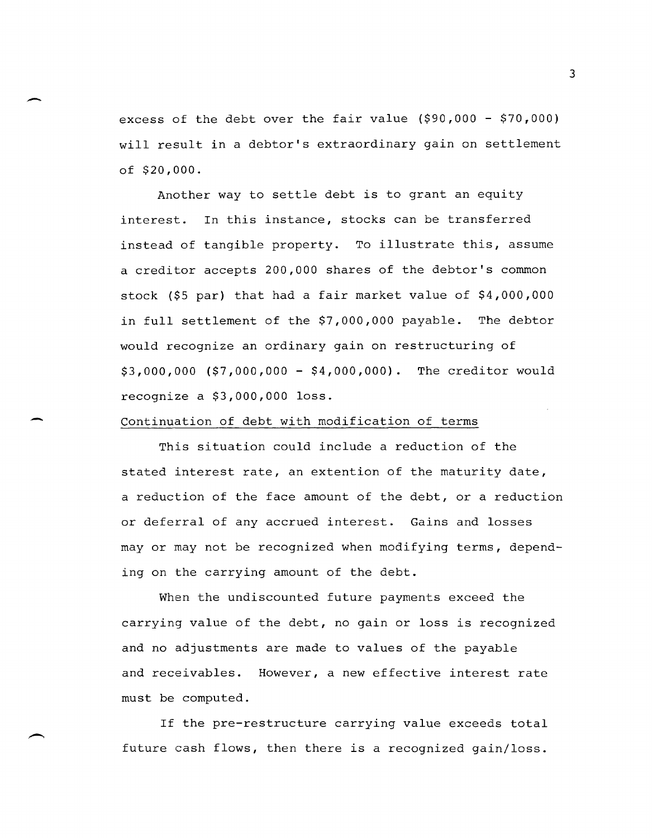excess of the debt over the fair value (\$90,000 - \$70,000) will result in a debtor's extraordinary gain on settlement of \$20,000.

Another way to settle debt is to grant an equity interest. In this instance, stocks can be transferred instead of tangible property. To illustrate this, assume a creditor accepts 200,000 shares of the debtor's common stock (\$5 par) that had a fair market value of \$4,000,000 in full settlement of the \$7,000,000 payable. The debtor would recognize an ordinary gain on restructuring of \$3,000,000 (\$7,000,000 - \$4,000,000). The creditor would recognize a \$3,000,000 loss.

# Continuation of debt with modification of terms

-

This situation could include a reduction of the stated interest rate, an extention of the maturity date, a reduction of the face amount of the debt, or a reduction or deferral of any accrued interest. Gains and losses mayor may not be recognized when modifying terms, depending on the carrying amount of the debt.

When the undiscounted future payments exceed the carrying value of the debt, no gain or loss is recognized and no adjustments are made to values of the payable and receivables. However, a new effective interest rate must be computed.

If the pre-restructure carrying value exceeds total future cash flows, then there is a recognized gain/loss.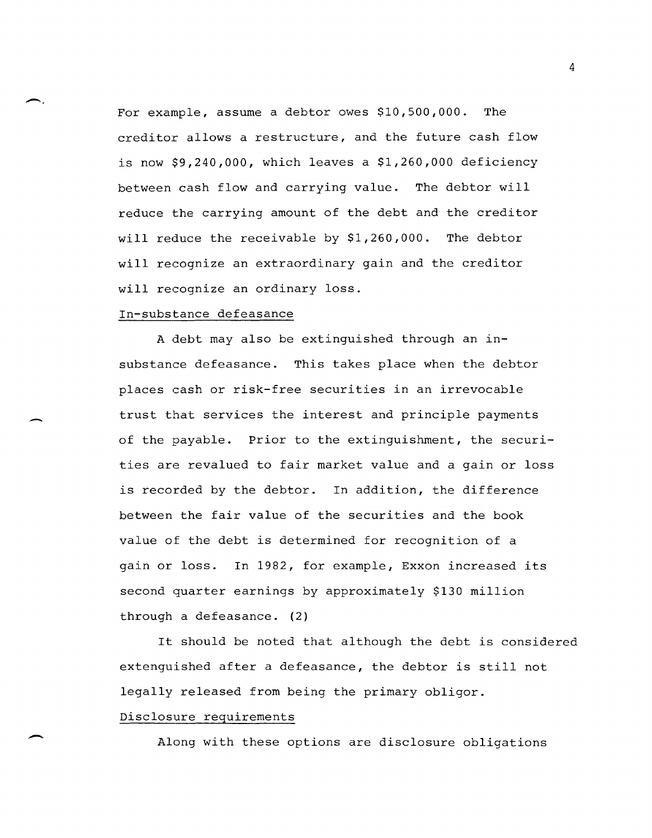For example, assume a debtor owes \$10,500,000. The creditor allows a restructure, and the future cash flow is now \$9,240,000, which leaves a \$1,260,000 deficiency between cash flow and carrying value. The debtor will reduce the carrying amount of the debt and the creditor will reduce the receivable by \$1,260,000. The debtor will recognize an extraordinary gain and the creditor will recognize an ordinary loss.

# In-substance defeasance

-.

-

-

A debt may also be extinguished through an Insubstance defeasance. This takes place when the debtor places cash or risk-free securities in an irrevocable trust that services the interest and principle payments of the payable. Prior to the extinguishment, the securities are revalued to fair market value and a gain or loss is recorded by the debtor. In addition, the difference between the fair value of the securities and the book value of the debt is determined for recognition of a gain or loss. In 1982, for example, Exxon increased its second quarter earnings by approximately \$130 million through a defeasance. (2)

It should be noted that although the debt is considered extenguished after a defeasance, the debtor is still not legally released from being the primary obligor. Disclosure requirements

Along with these options are disclosure obligations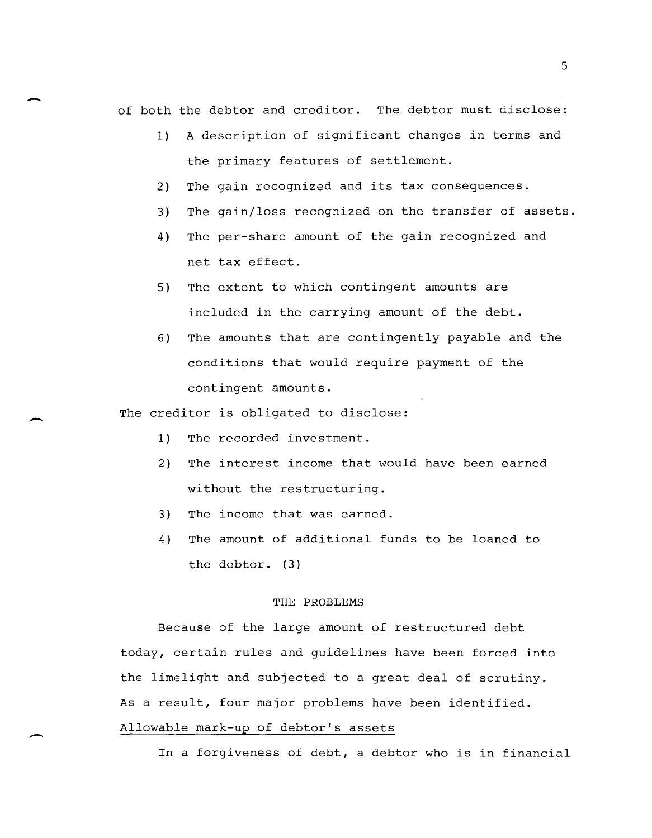of both the debtor and creditor. The debtor must disclose:

- 1) A description of significant changes in terms and the primary features of settlement.
- 2) The gain recognized and its tax consequences.
- 3) The gain/loss recognized on the transfer of assets.
- 4) The per-share amount of the gain recognized and net tax effect.
- 5) The extent to which contingent amounts are included in the carrying amount of the debt.
- 6) The amounts that are contingently payable and the conditions that would require payment of the contingent amounts.

The creditor is obligated to disclose:

- 1) The recorded investment.
- 2) The interest income that would have been earned without the restructuring.
- 3) The income that was earned.
- 4) The amount of additional funds to be loaned to the debtor. (3)

## THE PROBLEMS

Because of the large amount of restructured debt today, certain rules and guidelines have been forced into the limelight and subjected to a great deal of scrutiny. As a result, four major problems have been identified. Allowable mark-up of debtor's assets

In a forgiveness of debt, a debtor who is in financial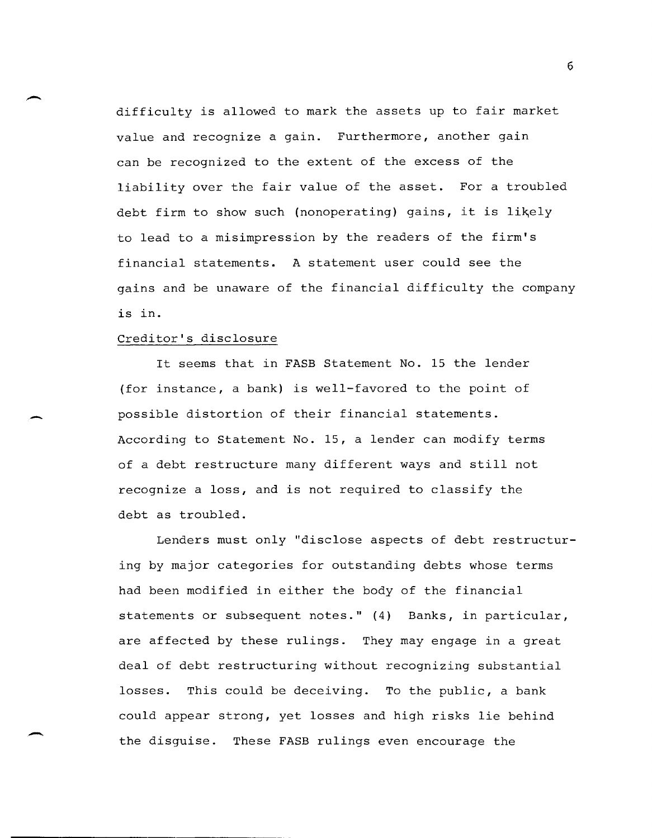difficulty is allowed to mark the assets up to fair market value and recognize a gain. Furthermore, another gain can be recognized to the extent of the excess of the liability over the fair value of the asset. For a troubled debt firm to show such (nonoperating) gains, it is likely to lead to a misimpression by the readers of the firm's financial statements. A statement user could see the gains and be unaware of the financial difficulty the company is in.

### Creditor's disclosure

-

-

-

It seems that in FASB Statement No. 15 the lender (for instance, a bank) is well-favored to the point of possible distortion of their financial statements. According to Statement No. 15, a lender can modify terms of a debt restructure many different ways and still not recognize a loss, and is not required to classify the debt as troubled.

Lenders must only "disclose aspects of debt restructuring by major categories for outstanding debts whose terms had been modified in either the body of the financial statements or subsequent notes." (4) Banks, in particular, are affected by these rulings. They may engage in a great deal of debt restructuring without recognizing substantial losses. This could be deceiving. To the public, a bank could appear strong, yet losses and high risks lie behind the disguise. These FASB rulings even encourage the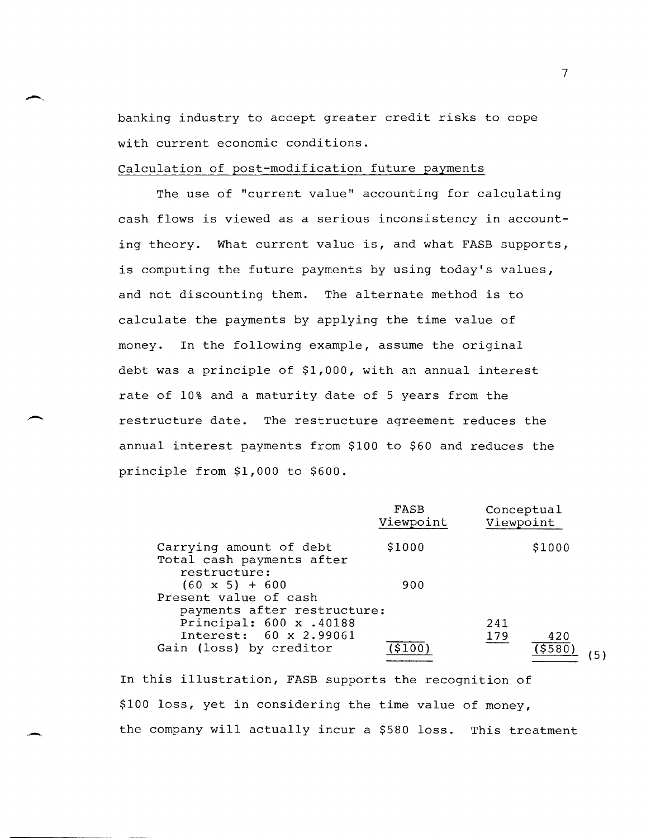banking industry to accept greater credit risks to cope with current economic conditions.

#### Calculation of post-modification future payments

 $\overline{\phantom{0}}$ 

The use of "current value" accounting for calculating cash flows is viewed as a serious inconsistency in accounting theory. What current value is, and what FASB supports, is computing the future payments by using today's values, and not discounting them. The alternate method is to calculate the payments by applying the time value of money. In the following example, assume the original debt was a principle of \$1,000, with an annual interest rate of 10% and a maturity date of 5 years from the restructure date. The restructure agreement reduces the annual interest payments from \$100 to \$60 and reduces the principle from \$1,000 to \$600.

|                                                                      | FASB<br>Viewpoint | Conceptual<br>Viewpoint |        |  |
|----------------------------------------------------------------------|-------------------|-------------------------|--------|--|
| Carrying amount of debt<br>Total cash payments after<br>restructure: | \$1000            |                         | \$1000 |  |
| $(60 \times 5) + 600$<br>Present value of cash                       | 900               |                         |        |  |
| payments after restructure:                                          |                   |                         |        |  |
| Principal: 600 x .40188                                              |                   | 241                     |        |  |
| Interest: 60 x 2.99061                                               |                   | 179                     | 420    |  |
| Gain (loss) by creditor                                              |                   |                         | \$580  |  |

In this illustration, FASB supports the recognition of \$100 loss, yet in considering the time value of money, the company will actually incur a \$580 loss. This treatment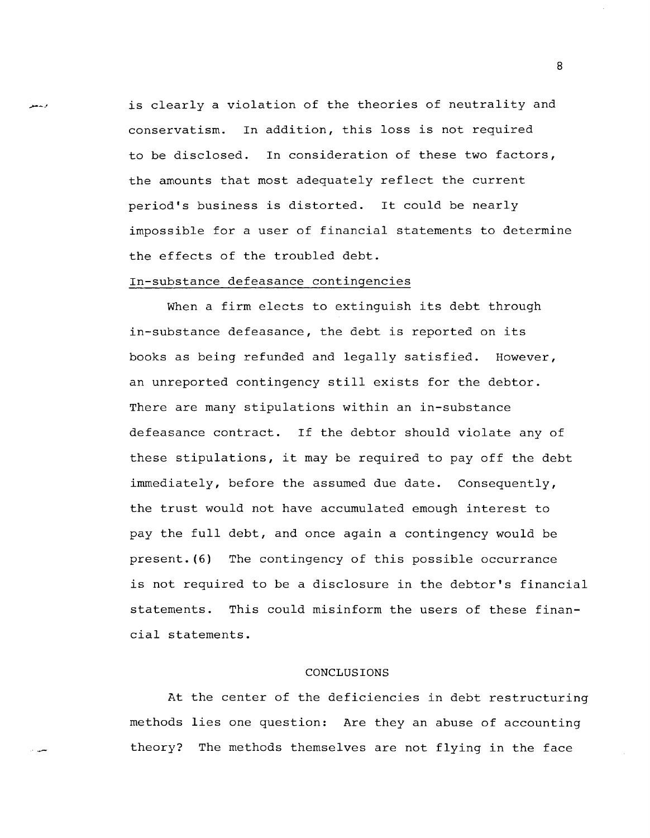is clearly a violation of the theories of neutrality and conservatism. In addition, this loss is not required to be disclosed. In consideration of these two factors, the amounts that most adequately reflect the current period's business is distorted. It could be nearly impossible for a user of financial statements to determine the effects of the troubled debt.

#### In-substance defeasance contingencies

When a firm elects to extinguish its debt through in-substance defeasance, the debt is reported on its books as being refunded and legally satisfied. However, an unreported contingency still exists for the debtor. There are many stipulations within an in-substance defeasance contract. If the debtor should violate any of these stipulations, it may be required to payoff the debt immediately, before the assumed due date. Consequently, the trust would not have accumulated emough interest to pay the full debt, and once again a contingency would be present. (6) The contingency of this possible occurrance is not required to be a disclosure in the debtor's financial statements. This could misinform the users of these financial statements.

#### CONCLUSIONS

At the center of the deficiencies in debt restructuring methods lies one question: Are they an abuse of accounting theory? The methods themselves are not flying in the face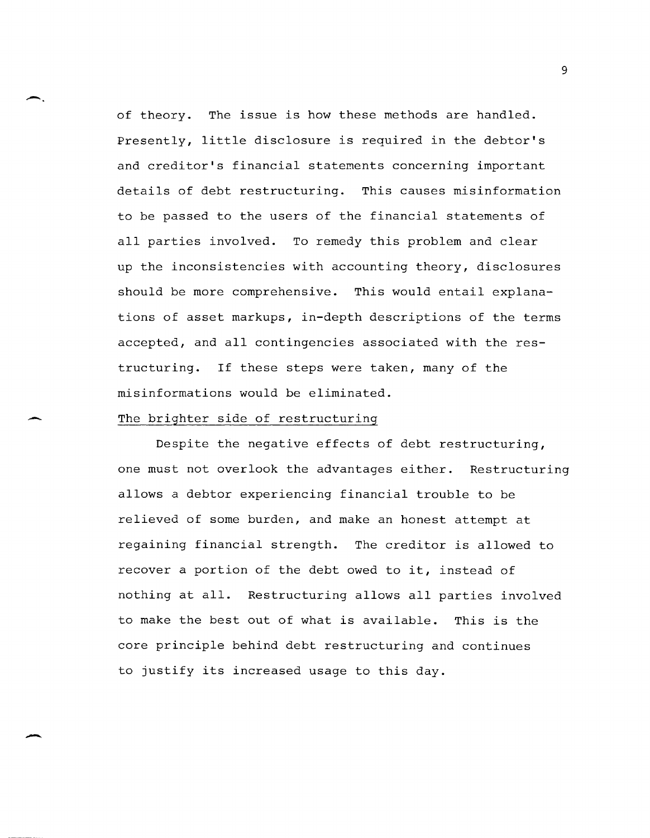of theory. The issue is how these methods are handled. Presently, little disclosure is required in the debtor's and creditor's financial statements concerning important details of debt restructuring. This causes misinformation to be passed to the users of the financial statements of all parties involved. To remedy this problem and clear up the inconsistencies with accounting theory, disclosures should be more comprehensive. This would entail explanations of asset markups, in-depth descriptions of the terms accepted, and all contingencies associated with the restructuring. If these steps were taken, many of the misinformations would be eliminated.

# The brighter side of restructuring

-.

-

Despite the negative effects of debt restructuring, one must not overlook the advantages either. Restructuring allows a debtor experiencing financial trouble to be relieved of some burden, and make an honest attempt at regaining financial strength. The creditor is allowed to recover a portion of the debt owed to it, instead of nothing at all. Restructuring allows all parties involved to make the best out of what is available. This is the core principle behind debt restructuring and continues to justify its increased usage to this day.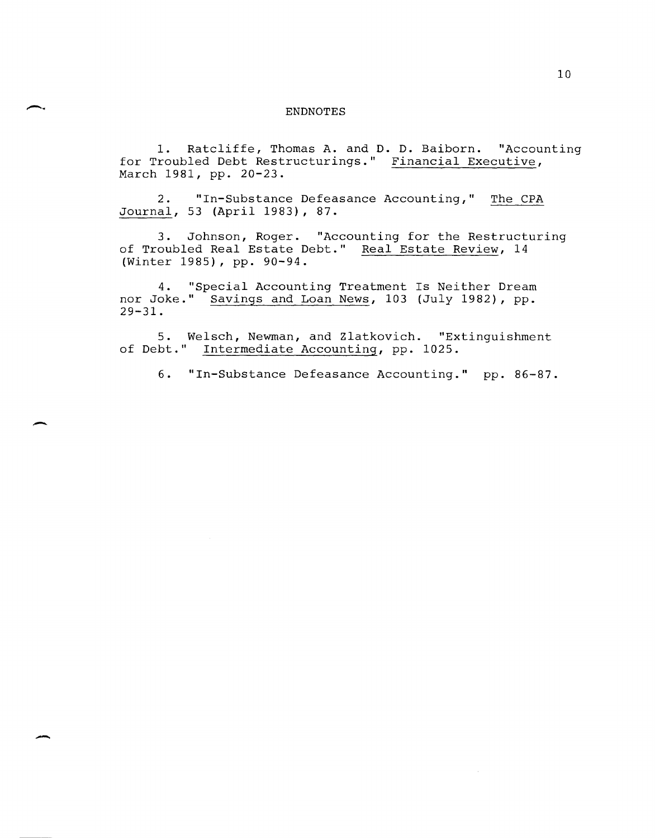#### ENDNOTES

1. Ratcliffe, Thomas A. and D. D. Baiborn. "Accounting for Troubled Debt Restructurings." Financial Executive, March 1981, pp. 20-23.

2. "In-Substance Defeasance Accounting," The CPA Journal, 53 (April 1983), 87.

3. Johnson, Roger. "Accounting for the Restructuring of Troubled Real Estate Debt." Real Estate Review, 14 (Winter 1985), pp. 90-94.

4. "Special Accounting Treatment Is Neither Dream nor Joke." Savings and Loan News, 103 (July 1982), pp. 29-31.

5. Welsch, Newman, and Zlatkovich. "Extinguishment of Debt." Intermediate Accounting, pp. 1025.

-

-

6. "In-Substance Defeasance Accounting." pp. 86-87.